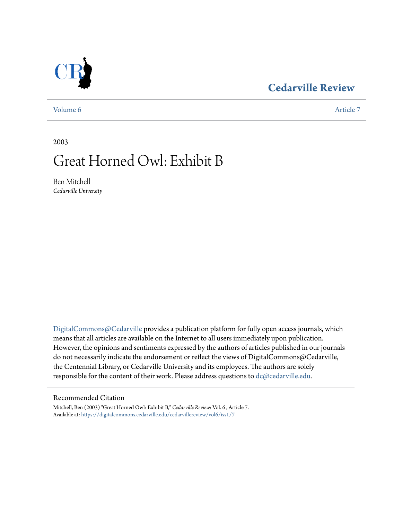### **[Cedarville Review](https://digitalcommons.cedarville.edu/cedarvillereview?utm_source=digitalcommons.cedarville.edu%2Fcedarvillereview%2Fvol6%2Fiss1%2F7&utm_medium=PDF&utm_campaign=PDFCoverPages)**



[Volume 6](https://digitalcommons.cedarville.edu/cedarvillereview/vol6?utm_source=digitalcommons.cedarville.edu%2Fcedarvillereview%2Fvol6%2Fiss1%2F7&utm_medium=PDF&utm_campaign=PDFCoverPages) [Article 7](https://digitalcommons.cedarville.edu/cedarvillereview/vol6/iss1/7?utm_source=digitalcommons.cedarville.edu%2Fcedarvillereview%2Fvol6%2Fiss1%2F7&utm_medium=PDF&utm_campaign=PDFCoverPages)

2003

## Great Horned Owl: Exhibit B

Ben Mitchell *Cedarville University*

[DigitalCommons@Cedarville](http://digitalcommons.cedarville.edu) provides a publication platform for fully open access journals, which means that all articles are available on the Internet to all users immediately upon publication. However, the opinions and sentiments expressed by the authors of articles published in our journals do not necessarily indicate the endorsement or reflect the views of DigitalCommons@Cedarville, the Centennial Library, or Cedarville University and its employees. The authors are solely responsible for the content of their work. Please address questions to [dc@cedarville.edu](mailto:dc@cedarville.edu).

#### Recommended Citation

Mitchell, Ben (2003) "Great Horned Owl: Exhibit B," *Cedarville Review*: Vol. 6 , Article 7. Available at: [https://digitalcommons.cedarville.edu/cedarvillereview/vol6/iss1/7](https://digitalcommons.cedarville.edu/cedarvillereview/vol6/iss1/7?utm_source=digitalcommons.cedarville.edu%2Fcedarvillereview%2Fvol6%2Fiss1%2F7&utm_medium=PDF&utm_campaign=PDFCoverPages)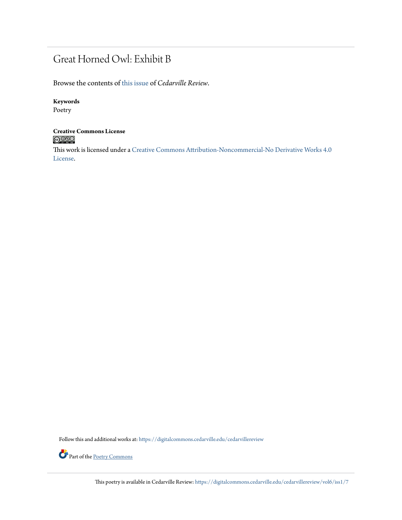## Great Horned Owl: Exhibit B

Browse the contents of [this issue](https://digitalcommons.cedarville.edu/cedarvillereview/vol6/iss1) of *Cedarville Review*.

#### **Keywords**

Poetry

# **Creative Commons License**

This work is licensed under a [Creative Commons Attribution-Noncommercial-No Derivative Works 4.0](http://creativecommons.org/licenses/by-nc-nd/4.0/) [License.](http://creativecommons.org/licenses/by-nc-nd/4.0/)

Follow this and additional works at: [https://digitalcommons.cedarville.edu/cedarvillereview](https://digitalcommons.cedarville.edu/cedarvillereview?utm_source=digitalcommons.cedarville.edu%2Fcedarvillereview%2Fvol6%2Fiss1%2F7&utm_medium=PDF&utm_campaign=PDFCoverPages)



Part of the <u>[Poetry Commons](http://network.bepress.com/hgg/discipline/1153?utm_source=digitalcommons.cedarville.edu%2Fcedarvillereview%2Fvol6%2Fiss1%2F7&utm_medium=PDF&utm_campaign=PDFCoverPages)</u>

This poetry is available in Cedarville Review: [https://digitalcommons.cedarville.edu/cedarvillereview/vol6/iss1/7](https://digitalcommons.cedarville.edu/cedarvillereview/vol6/iss1/7?utm_source=digitalcommons.cedarville.edu%2Fcedarvillereview%2Fvol6%2Fiss1%2F7&utm_medium=PDF&utm_campaign=PDFCoverPages)